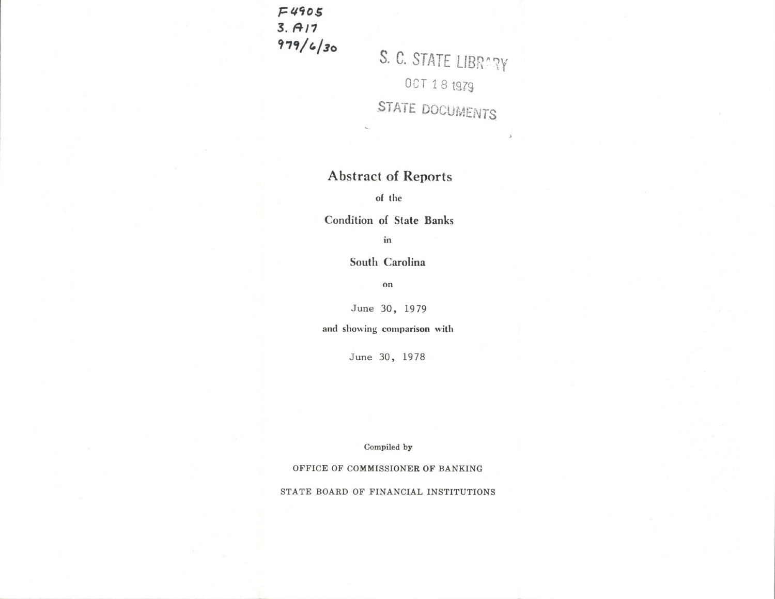F4qog  $3. A17$  $979/ 6/30$ 

S. C. STATE LIBRARY OCT 18 1979 STATE DOCUMENTS

 $\lambda$ 

## Abstract of Reports

of the

Condition of State Banks

in

South Carolina

on

June 30, <sup>1979</sup>

and showing comparison with

June 30, 1978

Compiled by

OFFICE OF COMMISSIONER OF BANKING

STATE BOARD OF FINANCIAL INSTITUTIONS